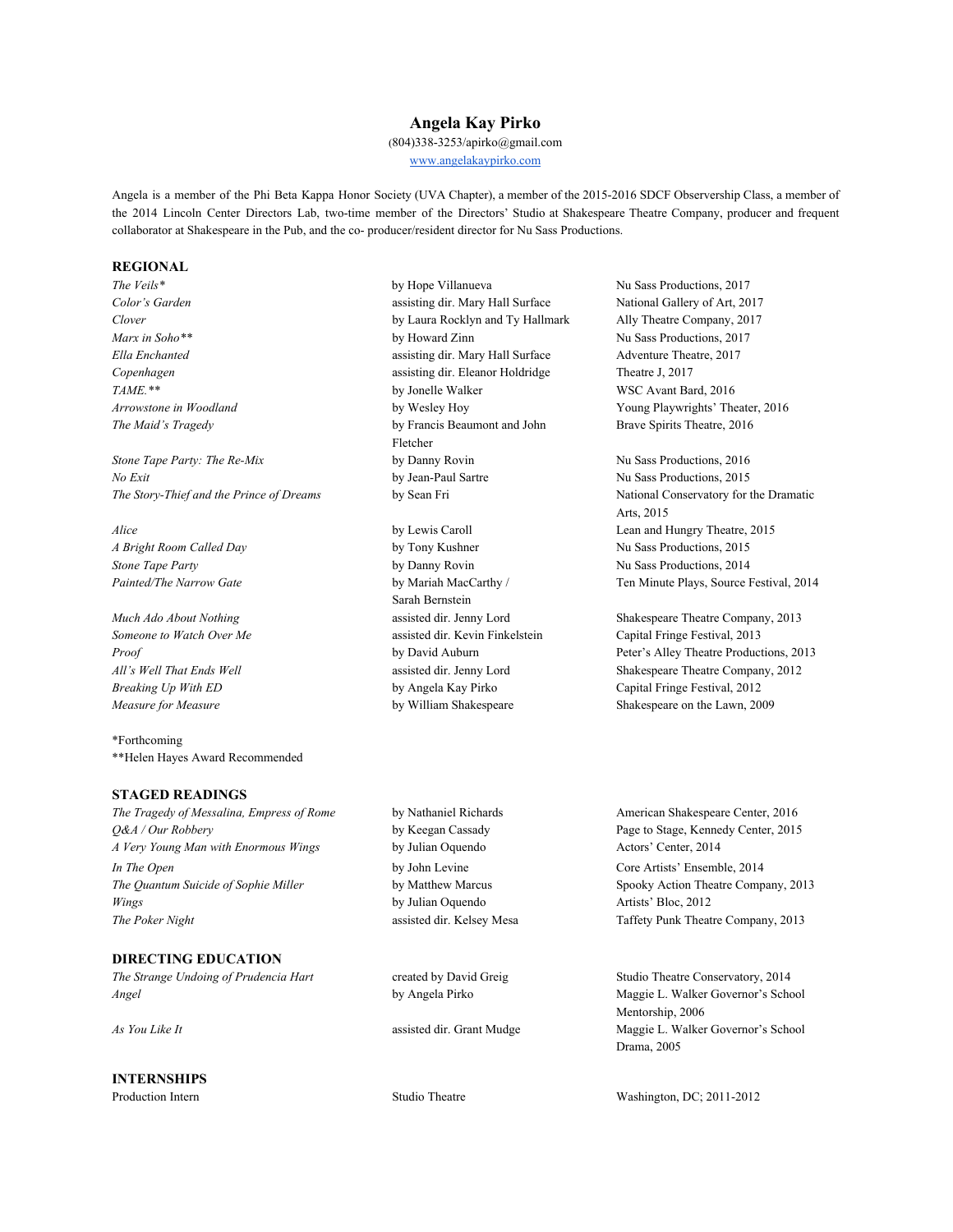## **Angela Kay Pirko**

(804)338-3253/apirko@gmail.com [www.angelakaypirko.com](http://www.angelakaypirko.com/)

Angela is a member of the Phi Beta Kappa Honor Society (UVA Chapter), a member of the 2015-2016 SDCF Observership Class, a member of the 2014 Lincoln Center Directors Lab, two-time member of the Directors' Studio at Shakespeare Theatre Company, producer and frequent collaborator at Shakespeare in the Pub, and the co- producer/resident director for Nu Sass Productions.

#### **REGIONAL**

*Stone Tape Party: The Re-Mix* by Danny Rovin Nu Sass Productions, 2016 *No Exit* by Jean-Paul Sartre Nu Sass Productions, 2015 *The Story-Thief and the Prince of Dreams* by Sean Fri National Conservatory for the Dramatic

\*Forthcoming \*\*Helen Hayes Award Recommended

#### **STAGED READINGS**

*Q&A / Our Robbery* by Keegan Cassady Page to Stage, Kennedy Center, 2015 *A Very Young Man with Enormous Wings* by Julian Oquendo Actors' Center, 2014 *In The Open* by John Levine Core Artists' Ensemble, 2014 *The Quantum Suicide of Sophie Miller* by Matthew Marcus Spooky Action Theatre Company, 2013 *Wings* by Julian Oquendo Artists' Bloc, 2012 **The Poker Night assisted dir. Kelsey Mesa** Taffety Punk Theatre Company, 2013

## **DIRECTING EDUCATION**

*Angel* **by Angela Pirko Maggie L. Walker Governor's School** by Angela Pirko Maggie L. Walker Governor's School

# **INTERNSHIPS**

**The Veils\* by Hope Villanueva Nu Sass Productions, 2017 h** Nu Sass Productions, 2017 *Color's Garden* assisting dir. Mary Hall Surface National Gallery of Art, 2017 *Clover* by Laura Rocklyn and Ty Hallmark Ally Theatre Company, 2017 *Marx in Soho*<sup>\*\*</sup> **by Howard Zinn by Howard Zinn** Nu Sass Productions, 2017 *Ella Enchanted* assisting dir. Mary Hall Surface Adventure Theatre, 2017 *Copenhagen* assisting dir. Eleanor Holdridge Theatre J, 2017 *TAME.\*\** by Jonelle Walker WSC Avant Bard, 2016 *Arrowstone in Woodland* **by Wesley Hoy Young Playwrights' Theater, 2016** *The Maid's Tragedy* by Francis Beaumont and John Brave Spirits Theatre, 2016 Fletcher

*A Bright Room Called Day* by Tony Kushner Nu Sass Productions, 2015 *Stone Tape Party* **by Danny Rovin Nu Sass Productions, 2014** Sarah Bernstein *Someone to Watch Over Me* assisted dir. Kevin Finkelstein Capital Fringe Festival, 2013 *Breaking Up With ED* by Angela Kay Pirko Capital Fringe Festival, 2012

Arts, 2015 *Alice* by Lewis Caroll **Lean and Hungry Theatre**, 2015 *Painted/The Narrow Gate* by Mariah MacCarthy / Ten Minute Plays, Source Festival, 2014

*Much Ado About Nothing* assisted dir. Jenny Lord Shakespeare Theatre Company, 2013 **Proof** by David Auburn Peter's Alley Theatre Productions, 2013 *All's Well That Ends Well* assisted dir. Jenny Lord Shakespeare Theatre Company, 2012 *Measure for Measure* **by William Shakespeare** Shakespeare on the Lawn, 2009

*The Tragedy of Messalina, Empress of Rome* by Nathaniel Richards American Shakespeare Center, 2016

*The Strange Undoing of Prudencia Hart* created by David Greig Studio Theatre Conservatory, 2014 Mentorship, 2006 *As You Like It* **As** *As As You Like It As You Like It* **Assisted dir.** Grant Mudge **Maggie L. Walker Governor's School** Drama, 2005

Production Intern Studio Theatre Washington, DC; 2011-2012